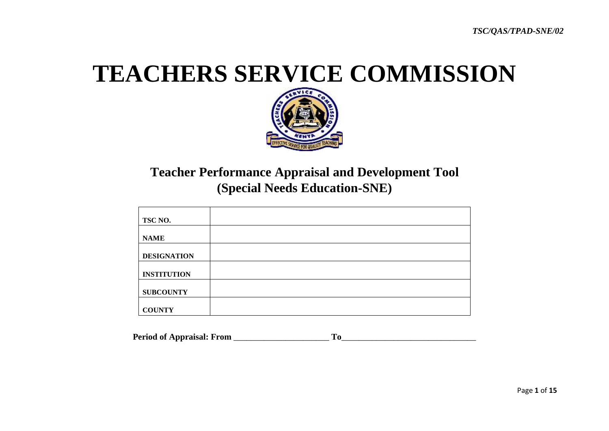# **TEACHERS SERVICE COMMISSION**



# **Teacher Performance Appraisal and Development Tool (Special Needs Education-SNE)**

| TSC NO.            |  |
|--------------------|--|
| <b>NAME</b>        |  |
|                    |  |
| <b>DESIGNATION</b> |  |
| <b>INSTITUTION</b> |  |
| <b>SUBCOUNTY</b>   |  |
| <b>COUNTY</b>      |  |

**Period of Appraisal: From** \_\_\_\_\_\_\_\_\_\_\_\_\_\_\_\_\_\_\_\_\_\_ **To**\_\_\_\_\_\_\_\_\_\_\_\_\_\_\_\_\_\_\_\_\_\_\_\_\_\_\_\_\_\_\_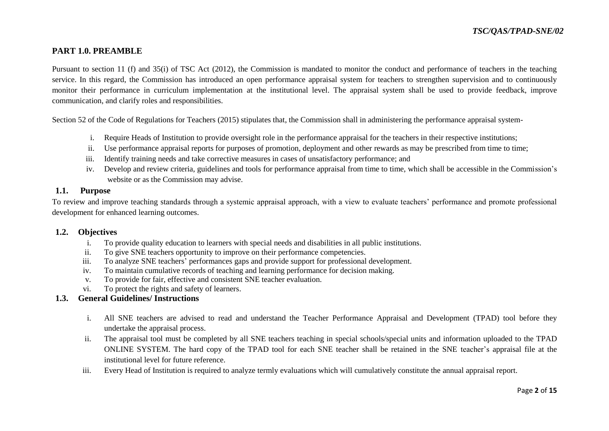# **PART 1.0. PREAMBLE**

Pursuant to section 11 (f) and 35(i) of TSC Act (2012), the Commission is mandated to monitor the conduct and performance of teachers in the teaching service. In this regard, the Commission has introduced an open performance appraisal system for teachers to strengthen supervision and to continuously monitor their performance in curriculum implementation at the institutional level. The appraisal system shall be used to provide feedback, improve communication, and clarify roles and responsibilities.

Section 52 of the Code of Regulations for Teachers (2015) stipulates that, the Commission shall in administering the performance appraisal system-

- i. Require Heads of Institution to provide oversight role in the performance appraisal for the teachers in their respective institutions;
- ii. Use performance appraisal reports for purposes of promotion, deployment and other rewards as may be prescribed from time to time;
- iii. Identify training needs and take corrective measures in cases of unsatisfactory performance; and
- iv. Develop and review criteria, guidelines and tools for performance appraisal from time to time, which shall be accessible in the Commission's website or as the Commission may advise.

### **1.1. Purpose**

To review and improve teaching standards through a systemic appraisal approach, with a view to evaluate teachers' performance and promote professional development for enhanced learning outcomes.

#### **1.2. Objectives**

- i. To provide quality education to learners with special needs and disabilities in all public institutions.
- ii. To give SNE teachers opportunity to improve on their performance competencies.
- iii. To analyze SNE teachers' performances gaps and provide support for professional development.
- iv. To maintain cumulative records of teaching and learning performance for decision making.
- v. To provide for fair, effective and consistent SNE teacher evaluation.
- vi. To protect the rights and safety of learners.

### **1.3. General Guidelines/ Instructions**

- i. All SNE teachers are advised to read and understand the Teacher Performance Appraisal and Development (TPAD) tool before they undertake the appraisal process.
- ii. The appraisal tool must be completed by all SNE teachers teaching in special schools/special units and information uploaded to the TPAD ONLINE SYSTEM. The hard copy of the TPAD tool for each SNE teacher shall be retained in the SNE teacher's appraisal file at the institutional level for future reference.
- iii. Every Head of Institution is required to analyze termly evaluations which will cumulatively constitute the annual appraisal report.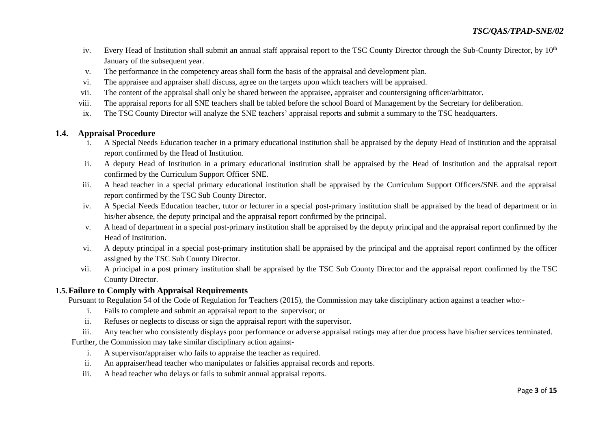- iv. Every Head of Institution shall submit an annual staff appraisal report to the TSC County Director through the Sub-County Director, by 10<sup>th</sup> January of the subsequent year.
- v. The performance in the competency areas shall form the basis of the appraisal and development plan.
- vi. The appraisee and appraiser shall discuss, agree on the targets upon which teachers will be appraised.
- vii. The content of the appraisal shall only be shared between the appraisee, appraiser and countersigning officer/arbitrator.
- viii. The appraisal reports for all SNE teachers shall be tabled before the school Board of Management by the Secretary for deliberation.
- ix. The TSC County Director will analyze the SNE teachers' appraisal reports and submit a summary to the TSC headquarters.

## **1.4. Appraisal Procedure**

- i. A Special Needs Education teacher in a primary educational institution shall be appraised by the deputy Head of Institution and the appraisal report confirmed by the Head of Institution.
- ii. A deputy Head of Institution in a primary educational institution shall be appraised by the Head of Institution and the appraisal report confirmed by the Curriculum Support Officer SNE.
- iii. A head teacher in a special primary educational institution shall be appraised by the Curriculum Support Officers/SNE and the appraisal report confirmed by the TSC Sub County Director.
- iv. A Special Needs Education teacher, tutor or lecturer in a special post-primary institution shall be appraised by the head of department or in his/her absence, the deputy principal and the appraisal report confirmed by the principal.
- v. A head of department in a special post-primary institution shall be appraised by the deputy principal and the appraisal report confirmed by the Head of Institution.
- vi. A deputy principal in a special post-primary institution shall be appraised by the principal and the appraisal report confirmed by the officer assigned by the TSC Sub County Director.
- vii. A principal in a post primary institution shall be appraised by the TSC Sub County Director and the appraisal report confirmed by the TSC County Director.

## **1.5.Failure to Comply with Appraisal Requirements**

Pursuant to Regulation 54 of the Code of Regulation for Teachers (2015), the Commission may take disciplinary action against a teacher who:-

- i. Fails to complete and submit an appraisal report to the supervisor; or
- ii. Refuses or neglects to discuss or sign the appraisal report with the supervisor.
- iii. Any teacher who consistently displays poor performance or adverse appraisal ratings may after due process have his/her services terminated.

Further, the Commission may take similar disciplinary action against-

- i. A supervisor/appraiser who fails to appraise the teacher as required.
- ii. An appraiser/head teacher who manipulates or falsifies appraisal records and reports.
- iii. A head teacher who delays or fails to submit annual appraisal reports.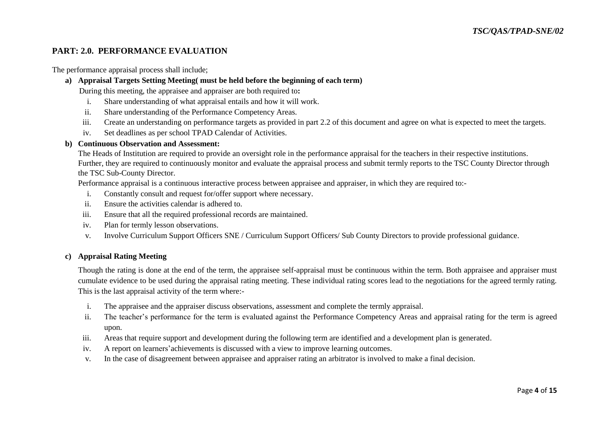# **PART: 2.0. PERFORMANCE EVALUATION**

The performance appraisal process shall include;

#### **a) Appraisal Targets Setting Meeting( must be held before the beginning of each term)**

During this meeting, the appraisee and appraiser are both required to**:** 

- i. Share understanding of what appraisal entails and how it will work.
- ii. Share understanding of the Performance Competency Areas.
- iii. Create an understanding on performance targets as provided in part 2.2 of this document and agree on what is expected to meet the targets.
- iv. Set deadlines as per school TPAD Calendar of Activities.

#### **b) Continuous Observation and Assessment:**

The Heads of Institution are required to provide an oversight role in the performance appraisal for the teachers in their respective institutions. Further, they are required to continuously monitor and evaluate the appraisal process and submit termly reports to the TSC County Director through the TSC Sub-County Director.

Performance appraisal is a continuous interactive process between appraisee and appraiser, in which they are required to:-

- i. Constantly consult and request for/offer support where necessary.
- ii. Ensure the activities calendar is adhered to.
- iii. Ensure that all the required professional records are maintained.
- iv. Plan for termly lesson observations.
- v. Involve Curriculum Support Officers SNE / Curriculum Support Officers/ Sub County Directors to provide professional guidance.

#### **c) Appraisal Rating Meeting**

Though the rating is done at the end of the term, the appraisee self-appraisal must be continuous within the term. Both appraisee and appraiser must cumulate evidence to be used during the appraisal rating meeting. These individual rating scores lead to the negotiations for the agreed termly rating. This is the last appraisal activity of the term where:-

- i. The appraisee and the appraiser discuss observations, assessment and complete the termly appraisal.
- ii. The teacher's performance for the term is evaluated against the Performance Competency Areas and appraisal rating for the term is agreed upon.
- iii. Areas that require support and development during the following term are identified and a development plan is generated.
- iv. A report on learners'achievements is discussed with a view to improve learning outcomes.
- v. In the case of disagreement between appraisee and appraiser rating an arbitrator is involved to make a final decision.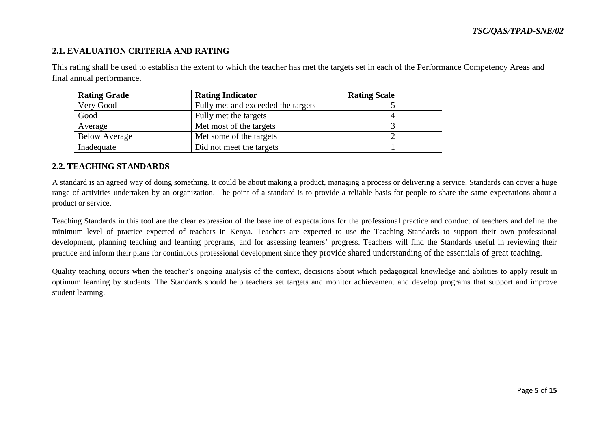# **2.1. EVALUATION CRITERIA AND RATING**

This rating shall be used to establish the extent to which the teacher has met the targets set in each of the Performance Competency Areas and final annual performance.

| <b>Rating Grade</b>  | <b>Rating Indicator</b>            | <b>Rating Scale</b> |
|----------------------|------------------------------------|---------------------|
| Very Good            | Fully met and exceeded the targets |                     |
| Good                 | Fully met the targets              |                     |
| Average              | Met most of the targets            |                     |
| <b>Below Average</b> | Met some of the targets            |                     |
| Inadequate           | Did not meet the targets           |                     |

## **2.2. TEACHING STANDARDS**

A standard is an agreed way of doing something. It could be about making a product, managing a process or delivering a service. Standards can cover a huge range of activities undertaken by an organization. The point of a standard is to provide a reliable basis for people to share the same expectations about a product or service.

Teaching Standards in this tool are the clear expression of the baseline of expectations for the professional practice and conduct of teachers and define the minimum level of practice expected of teachers in Kenya. Teachers are expected to use the Teaching Standards to support their own professional development, planning teaching and learning programs, and for assessing learners' progress. Teachers will find the Standards useful in reviewing their practice and inform their plans for continuous professional development since they provide shared understanding of the essentials of great teaching.

Quality teaching occurs when the teacher's ongoing analysis of the context, decisions about which pedagogical knowledge and abilities to apply result in optimum learning by students. The Standards should help teachers set targets and monitor achievement and develop programs that support and improve student learning.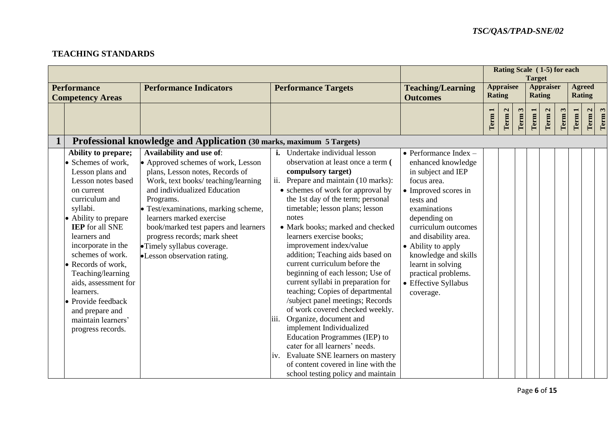# **TEACHING STANDARDS**

|             |                                                                                                                                                                                                                                                                                                                                                                                                           |                                                                                                                                                                                                                                                                                                                                                                                                                                                                       |                                                                                                                                                                                                                                                                                                                                                                                                                                                                                                                                                                                                                                                                                       |                                                                                                                                                                                                                                                                                                                                             |                                   |                      | Rating Scale (1-5) for each<br><b>Target</b> |                                  |                                   |                      |                                |                      |                   |
|-------------|-----------------------------------------------------------------------------------------------------------------------------------------------------------------------------------------------------------------------------------------------------------------------------------------------------------------------------------------------------------------------------------------------------------|-----------------------------------------------------------------------------------------------------------------------------------------------------------------------------------------------------------------------------------------------------------------------------------------------------------------------------------------------------------------------------------------------------------------------------------------------------------------------|---------------------------------------------------------------------------------------------------------------------------------------------------------------------------------------------------------------------------------------------------------------------------------------------------------------------------------------------------------------------------------------------------------------------------------------------------------------------------------------------------------------------------------------------------------------------------------------------------------------------------------------------------------------------------------------|---------------------------------------------------------------------------------------------------------------------------------------------------------------------------------------------------------------------------------------------------------------------------------------------------------------------------------------------|-----------------------------------|----------------------|----------------------------------------------|----------------------------------|-----------------------------------|----------------------|--------------------------------|----------------------|-------------------|
|             | <b>Performance</b>                                                                                                                                                                                                                                                                                                                                                                                        | <b>Performance Indicators</b>                                                                                                                                                                                                                                                                                                                                                                                                                                         | <b>Performance Targets</b>                                                                                                                                                                                                                                                                                                                                                                                                                                                                                                                                                                                                                                                            | <b>Teaching/Learning</b>                                                                                                                                                                                                                                                                                                                    | <b>Appraisee</b><br><b>Rating</b> |                      |                                              |                                  | <b>Appraiser</b><br><b>Rating</b> |                      | <b>Agreed</b><br><b>Rating</b> |                      |                   |
|             | <b>Competency Areas</b>                                                                                                                                                                                                                                                                                                                                                                                   |                                                                                                                                                                                                                                                                                                                                                                                                                                                                       |                                                                                                                                                                                                                                                                                                                                                                                                                                                                                                                                                                                                                                                                                       | <b>Outcomes</b>                                                                                                                                                                                                                                                                                                                             |                                   |                      |                                              |                                  |                                   |                      |                                |                      |                   |
|             |                                                                                                                                                                                                                                                                                                                                                                                                           |                                                                                                                                                                                                                                                                                                                                                                                                                                                                       |                                                                                                                                                                                                                                                                                                                                                                                                                                                                                                                                                                                                                                                                                       |                                                                                                                                                                                                                                                                                                                                             | Term 1                            | $\mathbf{z}$<br>Term | Term 3                                       | $\overline{\phantom{0}}$<br>Term | $\mathbf{z}$<br>Term              | $\mathbf{r}$<br>Term | <b>Term</b>                    | $\mathbf{C}$<br>Term | Term <sub>3</sub> |
|             |                                                                                                                                                                                                                                                                                                                                                                                                           |                                                                                                                                                                                                                                                                                                                                                                                                                                                                       |                                                                                                                                                                                                                                                                                                                                                                                                                                                                                                                                                                                                                                                                                       |                                                                                                                                                                                                                                                                                                                                             |                                   |                      |                                              |                                  |                                   |                      |                                |                      |                   |
| $\mathbf 1$ | Ability to prepare;<br>Schemes of work,<br>Lesson plans and<br>Lesson notes based<br>on current<br>curriculum and<br>syllabi.<br>• Ability to prepare<br><b>IEP</b> for all SNE<br>learners and<br>incorporate in the<br>schemes of work.<br>Records of work,<br>Teaching/learning<br>aids, assessment for<br>learners.<br>Provide feedback<br>and prepare and<br>maintain learners'<br>progress records. | Professional knowledge and Application (30 marks, maximum 5 Targets)<br>Availability and use of:<br>• Approved schemes of work, Lesson<br>plans, Lesson notes, Records of<br>Work, text books/teaching/learning<br>and individualized Education<br>Programs.<br>• Test/examinations, marking scheme,<br>learners marked exercise<br>book/marked test papers and learners<br>progress records; mark sheet<br>•Timely syllabus coverage.<br>•Lesson observation rating. | <i>i.</i> Undertake individual lesson<br>observation at least once a term (<br>compulsory target)<br>ii.<br>Prepare and maintain (10 marks):<br>• schemes of work for approval by<br>the 1st day of the term; personal<br>timetable; lesson plans; lesson<br>notes<br>• Mark books; marked and checked<br>learners exercise books;<br>improvement index/value<br>addition; Teaching aids based on<br>current curriculum before the<br>beginning of each lesson; Use of<br>current syllabi in preparation for<br>teaching; Copies of departmental<br>/subject panel meetings; Records<br>of work covered checked weekly.<br>Organize, document and<br>iii.<br>implement Individualized | $\bullet$ Performance Index -<br>enhanced knowledge<br>in subject and IEP<br>focus area.<br>• Improved scores in<br>tests and<br>examinations<br>depending on<br>curriculum outcomes<br>and disability area.<br>• Ability to apply<br>knowledge and skills<br>learnt in solving<br>practical problems.<br>• Effective Syllabus<br>coverage. |                                   |                      |                                              |                                  |                                   |                      |                                |                      |                   |
|             |                                                                                                                                                                                                                                                                                                                                                                                                           |                                                                                                                                                                                                                                                                                                                                                                                                                                                                       | Education Programmes (IEP) to<br>cater for all learners' needs.<br>Evaluate SNE learners on mastery<br>iv.<br>of content covered in line with the<br>school testing policy and maintain                                                                                                                                                                                                                                                                                                                                                                                                                                                                                               |                                                                                                                                                                                                                                                                                                                                             |                                   |                      |                                              |                                  |                                   |                      |                                |                      |                   |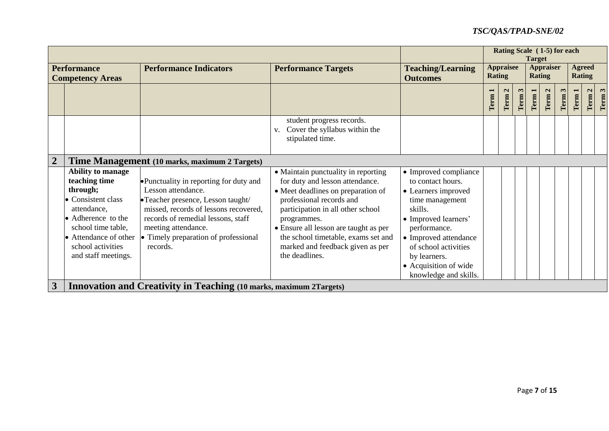| Rating Scale (1-5) for each |                                                                                                                                                                                                             |                                                                                                                                                                                                                                                              |                                                                                                                                                                                                                                                                                                                                    |                                                                                                                                                                                                                                                            |               |                             |        | <b>Target</b> |                                   |      |      |                                |                               |
|-----------------------------|-------------------------------------------------------------------------------------------------------------------------------------------------------------------------------------------------------------|--------------------------------------------------------------------------------------------------------------------------------------------------------------------------------------------------------------------------------------------------------------|------------------------------------------------------------------------------------------------------------------------------------------------------------------------------------------------------------------------------------------------------------------------------------------------------------------------------------|------------------------------------------------------------------------------------------------------------------------------------------------------------------------------------------------------------------------------------------------------------|---------------|-----------------------------|--------|---------------|-----------------------------------|------|------|--------------------------------|-------------------------------|
|                             | <b>Performance</b><br><b>Competency Areas</b>                                                                                                                                                               | <b>Performance Indicators</b>                                                                                                                                                                                                                                | <b>Performance Targets</b>                                                                                                                                                                                                                                                                                                         | <b>Teaching/Learning</b><br><b>Outcomes</b>                                                                                                                                                                                                                | <b>Rating</b> | <b>Appraisee</b>            |        |               | <b>Appraiser</b><br><b>Rating</b> |      |      | <b>Agreed</b><br><b>Rating</b> |                               |
|                             |                                                                                                                                                                                                             |                                                                                                                                                                                                                                                              |                                                                                                                                                                                                                                                                                                                                    |                                                                                                                                                                                                                                                            | Term 1        | $\mathbf{z}$<br><b>Term</b> | Term 3 | Term 1        | $\mathbf{z}$<br>Term              | Term | Term | $\mathbf{a}$<br>Term           | $\boldsymbol{\omega}$<br>Term |
|                             |                                                                                                                                                                                                             |                                                                                                                                                                                                                                                              | student progress records.<br>Cover the syllabus within the<br>V.<br>stipulated time.                                                                                                                                                                                                                                               |                                                                                                                                                                                                                                                            |               |                             |        |               |                                   |      |      |                                |                               |
| $\boldsymbol{2}$            |                                                                                                                                                                                                             | Time Management (10 marks, maximum 2 Targets)                                                                                                                                                                                                                |                                                                                                                                                                                                                                                                                                                                    |                                                                                                                                                                                                                                                            |               |                             |        |               |                                   |      |      |                                |                               |
|                             | <b>Ability to manage</b><br>teaching time<br>through;<br>• Consistent class<br>attendance,<br>• Adherence to the<br>school time table,<br>• Attendance of other<br>school activities<br>and staff meetings. | • Punctuality in reporting for duty and<br>Lesson attendance.<br>•Teacher presence, Lesson taught/<br>missed, records of lessons recovered,<br>records of remedial lessons, staff<br>meeting attendance.<br>• Timely preparation of professional<br>records. | • Maintain punctuality in reporting<br>for duty and lesson attendance.<br>• Meet deadlines on preparation of<br>professional records and<br>participation in all other school<br>programmes.<br>• Ensure all lesson are taught as per<br>the school timetable, exams set and<br>marked and feedback given as per<br>the deadlines. | • Improved compliance<br>to contact hours.<br>• Learners improved<br>time management<br>skills.<br>• Improved learners'<br>performance.<br>• Improved attendance<br>of school activities<br>by learners.<br>• Acquisition of wide<br>knowledge and skills. |               |                             |        |               |                                   |      |      |                                |                               |
| 3                           |                                                                                                                                                                                                             | <b>Innovation and Creativity in Teaching (10 marks, maximum 2Targets)</b>                                                                                                                                                                                    |                                                                                                                                                                                                                                                                                                                                    |                                                                                                                                                                                                                                                            |               |                             |        |               |                                   |      |      |                                |                               |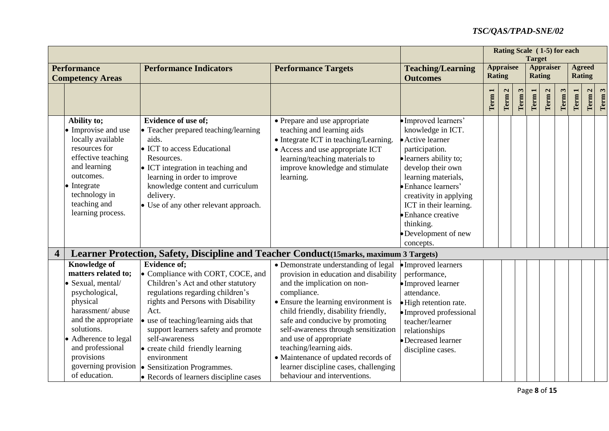|                                                                                                                                                                                                                                   |                                                                                                                                                                                                                                                                                                                                                                                                                                   |                                                                                                                                                                                                                                                                                                                                                                                                                                                             |                                                                                                                                                                                                                                                                                                         | Rating Scale (1-5) for each<br><b>Target</b> |                      |        |        |                                   |      |                   |                                |        |
|-----------------------------------------------------------------------------------------------------------------------------------------------------------------------------------------------------------------------------------|-----------------------------------------------------------------------------------------------------------------------------------------------------------------------------------------------------------------------------------------------------------------------------------------------------------------------------------------------------------------------------------------------------------------------------------|-------------------------------------------------------------------------------------------------------------------------------------------------------------------------------------------------------------------------------------------------------------------------------------------------------------------------------------------------------------------------------------------------------------------------------------------------------------|---------------------------------------------------------------------------------------------------------------------------------------------------------------------------------------------------------------------------------------------------------------------------------------------------------|----------------------------------------------|----------------------|--------|--------|-----------------------------------|------|-------------------|--------------------------------|--------|
| <b>Performance</b><br><b>Competency Areas</b>                                                                                                                                                                                     | <b>Performance Indicators</b>                                                                                                                                                                                                                                                                                                                                                                                                     | <b>Performance Targets</b>                                                                                                                                                                                                                                                                                                                                                                                                                                  | <b>Teaching/Learning</b><br><b>Outcomes</b>                                                                                                                                                                                                                                                             | <b>Appraisee</b><br><b>Rating</b>            |                      |        |        | <b>Appraiser</b><br><b>Rating</b> |      |                   | <b>Agreed</b><br><b>Rating</b> |        |
|                                                                                                                                                                                                                                   |                                                                                                                                                                                                                                                                                                                                                                                                                                   |                                                                                                                                                                                                                                                                                                                                                                                                                                                             |                                                                                                                                                                                                                                                                                                         | Term 1                                       | $\mathbf{c}$<br>Term | Term 3 | Term 1 | $\mathbf{\Omega}$<br>Term         | Term | Term <sub>1</sub> | $\mathbf{C}$<br>Term           | Term 3 |
| Ability to;<br>• Improvise and use<br>locally available<br>resources for<br>effective teaching<br>and learning<br>outcomes.<br>• Integrate<br>technology in<br>teaching and<br>learning process.                                  | <b>Evidence of use of:</b><br>• Teacher prepared teaching/learning<br>aids.<br>• ICT to access Educational<br>Resources.<br>• ICT integration in teaching and<br>learning in order to improve<br>knowledge content and curriculum<br>delivery.<br>• Use of any other relevant approach.                                                                                                                                           | • Prepare and use appropriate<br>teaching and learning aids<br>• Integrate ICT in teaching/Learning.<br>• Access and use appropriate ICT<br>learning/teaching materials to<br>improve knowledge and stimulate<br>learning.                                                                                                                                                                                                                                  | · Improved learners'<br>knowledge in ICT.<br>• Active learner<br>participation.<br>· learners ability to;<br>develop their own<br>learning materials,<br>· Enhance learners'<br>creativity in applying<br>ICT in their learning.<br>• Enhance creative<br>thinking.<br>•Development of new<br>concepts. |                                              |                      |        |        |                                   |      |                   |                                |        |
| 4                                                                                                                                                                                                                                 | Learner Protection, Safety, Discipline and Teacher Conduct (15marks, maximum 3 Targets)                                                                                                                                                                                                                                                                                                                                           |                                                                                                                                                                                                                                                                                                                                                                                                                                                             |                                                                                                                                                                                                                                                                                                         |                                              |                      |        |        |                                   |      |                   |                                |        |
| <b>Knowledge of</b><br>matters related to:<br>· Sexual, mental/<br>psychological,<br>physical<br>harassment/abuse<br>and the appropriate<br>solutions.<br>• Adherence to legal<br>and professional<br>provisions<br>of education. | <b>Evidence of:</b><br>• Compliance with CORT, COCE, and<br>Children's Act and other statutory<br>regulations regarding children's<br>rights and Persons with Disability<br>Act.<br>• use of teaching/learning aids that<br>support learners safety and promote<br>self-awareness<br>• create child friendly learning<br>environment<br>governing provision   Sensitization Programmes.<br>• Records of learners discipline cases | • Demonstrate understanding of legal<br>provision in education and disability<br>and the implication on non-<br>compliance.<br>• Ensure the learning environment is<br>child friendly, disability friendly,<br>safe and conducive by promoting<br>self-awareness through sensitization<br>and use of appropriate<br>teaching/learning aids.<br>• Maintenance of updated records of<br>learner discipline cases, challenging<br>behaviour and interventions. | • Improved learners<br>performance,<br>•Improved learner<br>attendance.<br>• High retention rate.<br>• Improved professional<br>teacher/learner<br>relationships<br>• Decreased learner<br>discipline cases.                                                                                            |                                              |                      |        |        |                                   |      |                   |                                |        |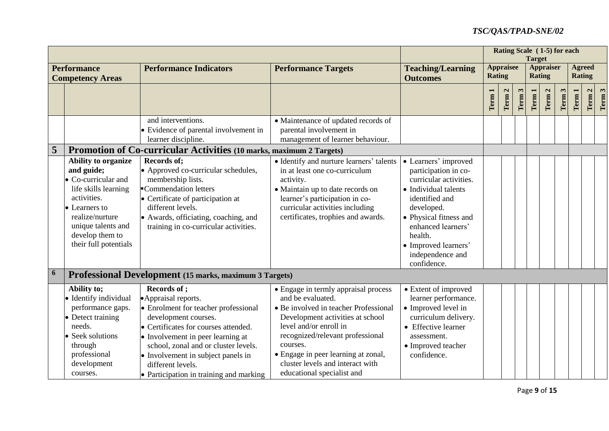|                  |                                                                                                                                                                                                       |                                                                                                                                                                                                                                                                                                                                        |                                                                                                                                                                                                                                                                                                                           |                                                                                                                                                                                                                                                      |                                   |                      | Rating Scale (1-5) for each<br><b>Target</b> |      |                                   |      |      |                                |        |
|------------------|-------------------------------------------------------------------------------------------------------------------------------------------------------------------------------------------------------|----------------------------------------------------------------------------------------------------------------------------------------------------------------------------------------------------------------------------------------------------------------------------------------------------------------------------------------|---------------------------------------------------------------------------------------------------------------------------------------------------------------------------------------------------------------------------------------------------------------------------------------------------------------------------|------------------------------------------------------------------------------------------------------------------------------------------------------------------------------------------------------------------------------------------------------|-----------------------------------|----------------------|----------------------------------------------|------|-----------------------------------|------|------|--------------------------------|--------|
|                  | <b>Performance</b><br><b>Competency Areas</b>                                                                                                                                                         | <b>Performance Indicators</b>                                                                                                                                                                                                                                                                                                          | <b>Performance Targets</b>                                                                                                                                                                                                                                                                                                | <b>Teaching/Learning</b><br><b>Outcomes</b>                                                                                                                                                                                                          | <b>Appraisee</b><br><b>Rating</b> |                      |                                              |      | <b>Appraiser</b><br><b>Rating</b> |      |      | <b>Agreed</b><br><b>Rating</b> |        |
|                  |                                                                                                                                                                                                       |                                                                                                                                                                                                                                                                                                                                        |                                                                                                                                                                                                                                                                                                                           |                                                                                                                                                                                                                                                      | Term <sub>1</sub>                 | $\mathbf{a}$<br>Term | Term 3                                       | Term | $\mathbf{z}$<br>Term              | Term | Term | $\mathbf{C}$<br>Term           | Term 3 |
|                  |                                                                                                                                                                                                       | and interventions.<br>• Evidence of parental involvement in<br>learner discipline.                                                                                                                                                                                                                                                     | • Maintenance of updated records of<br>parental involvement in<br>management of learner behaviour.                                                                                                                                                                                                                        |                                                                                                                                                                                                                                                      |                                   |                      |                                              |      |                                   |      |      |                                |        |
| 5                |                                                                                                                                                                                                       | Promotion of Co-curricular Activities (10 marks, maximum 2 Targets)                                                                                                                                                                                                                                                                    |                                                                                                                                                                                                                                                                                                                           |                                                                                                                                                                                                                                                      |                                   |                      |                                              |      |                                   |      |      |                                |        |
|                  | Ability to organize<br>and guide;<br>• Co-curricular and<br>life skills learning<br>activities.<br>• Learners to<br>realize/nurture<br>unique talents and<br>develop them to<br>their full potentials | <b>Records of:</b><br>• Approved co-curricular schedules,<br>membership lists.<br>Commendation letters<br>• Certificate of participation at<br>different levels.<br>• Awards, officiating, coaching, and<br>training in co-curricular activities.                                                                                      | • Identify and nurture learners' talents<br>in at least one co-curriculum<br>activity.<br>• Maintain up to date records on<br>learner's participation in co-<br>curricular activities including<br>certificates, trophies and awards.                                                                                     | • Learners' improved<br>participation in co-<br>curricular activities.<br>• Individual talents<br>identified and<br>developed.<br>• Physical fitness and<br>enhanced learners'<br>health.<br>• Improved learners'<br>independence and<br>confidence. |                                   |                      |                                              |      |                                   |      |      |                                |        |
| $\boldsymbol{6}$ |                                                                                                                                                                                                       | Professional Development (15 marks, maximum 3 Targets)                                                                                                                                                                                                                                                                                 |                                                                                                                                                                                                                                                                                                                           |                                                                                                                                                                                                                                                      |                                   |                      |                                              |      |                                   |      |      |                                |        |
|                  | Ability to;<br>• Identify individual<br>performance gaps.<br>• Detect training<br>needs.<br>• Seek solutions<br>through<br>professional<br>development<br>courses.                                    | <b>Records of ;</b><br>• Appraisal reports.<br>• Enrolment for teacher professional<br>development courses.<br>• Certificates for courses attended.<br>• Involvement in peer learning at<br>school, zonal and or cluster levels.<br>• Involvement in subject panels in<br>different levels.<br>• Participation in training and marking | • Engage in termly appraisal process<br>and be evaluated.<br>• Be involved in teacher Professional<br>Development activities at school<br>level and/or enroll in<br>recognized/relevant professional<br>courses.<br>• Engage in peer learning at zonal,<br>cluster levels and interact with<br>educational specialist and | • Extent of improved<br>learner performance.<br>• Improved level in<br>curriculum delivery.<br>• Effective learner<br>assessment.<br>• Improved teacher<br>confidence.                                                                               |                                   |                      |                                              |      |                                   |      |      |                                |        |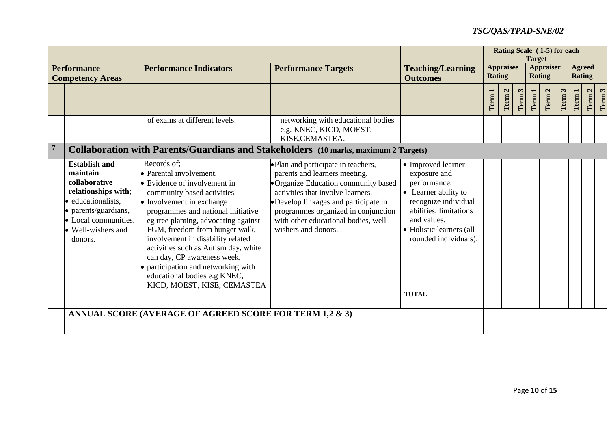|  |                                                                                                                                                                                 |                                                                                                                                                                                                                                                                                                                                                                                                                                                                      |                                                                                                                                                                                                                                                                                                |                                                                                                                                                                                                  |        |                                                                        |        | <b>Target</b> | Rating Scale (1-5) for each    |      |        |                      |        |
|--|---------------------------------------------------------------------------------------------------------------------------------------------------------------------------------|----------------------------------------------------------------------------------------------------------------------------------------------------------------------------------------------------------------------------------------------------------------------------------------------------------------------------------------------------------------------------------------------------------------------------------------------------------------------|------------------------------------------------------------------------------------------------------------------------------------------------------------------------------------------------------------------------------------------------------------------------------------------------|--------------------------------------------------------------------------------------------------------------------------------------------------------------------------------------------------|--------|------------------------------------------------------------------------|--------|---------------|--------------------------------|------|--------|----------------------|--------|
|  | <b>Performance</b><br><b>Competency Areas</b>                                                                                                                                   | <b>Performance Indicators</b>                                                                                                                                                                                                                                                                                                                                                                                                                                        | <b>Performance Targets</b>                                                                                                                                                                                                                                                                     | <b>Teaching/Learning</b><br><b>Outcomes</b>                                                                                                                                                      |        | <b>Appraisee</b><br><b>Appraiser</b><br><b>Rating</b><br><b>Rating</b> |        |               | <b>Agreed</b><br><b>Rating</b> |      |        |                      |        |
|  |                                                                                                                                                                                 |                                                                                                                                                                                                                                                                                                                                                                                                                                                                      |                                                                                                                                                                                                                                                                                                |                                                                                                                                                                                                  | Term 1 | Term 2                                                                 | Term 3 | Term 1        | $\mathbf{a}$<br>Term           | Term | Term 1 | $\mathbf{z}$<br>Term | Term 3 |
|  |                                                                                                                                                                                 | of exams at different levels.                                                                                                                                                                                                                                                                                                                                                                                                                                        | networking with educational bodies<br>e.g. KNEC, KICD, MOEST,<br>KISE, CEMASTEA.                                                                                                                                                                                                               |                                                                                                                                                                                                  |        |                                                                        |        |               |                                |      |        |                      |        |
|  |                                                                                                                                                                                 | <b>Collaboration with Parents/Guardians and Stakeholders</b> (10 marks, maximum 2 Targets)                                                                                                                                                                                                                                                                                                                                                                           |                                                                                                                                                                                                                                                                                                |                                                                                                                                                                                                  |        |                                                                        |        |               |                                |      |        |                      |        |
|  | <b>Establish and</b><br>maintain<br>collaborative<br>relationships with;<br>· educationalists,<br>• parents/guardians,<br>• Local communities.<br>• Well-wishers and<br>donors. | Records of:<br>• Parental involvement.<br>• Evidence of involvement in<br>community based activities.<br>• Involvement in exchange<br>programmes and national initiative<br>eg tree planting, advocating against<br>FGM, freedom from hunger walk,<br>involvement in disability related<br>activities such as Autism day, white<br>can day, CP awareness week.<br>• participation and networking with<br>educational bodies e.g KNEC,<br>KICD, MOEST, KISE, CEMASTEA | • Plan and participate in teachers,<br>parents and learners meeting.<br>• Organize Education community based<br>activities that involve learners.<br>•Develop linkages and participate in<br>programmes organized in conjunction<br>with other educational bodies, well<br>wishers and donors. | • Improved learner<br>exposure and<br>performance.<br>• Learner ability to<br>recognize individual<br>abilities, limitations<br>and values.<br>• Holistic learners (all<br>rounded individuals). |        |                                                                        |        |               |                                |      |        |                      |        |
|  |                                                                                                                                                                                 |                                                                                                                                                                                                                                                                                                                                                                                                                                                                      |                                                                                                                                                                                                                                                                                                | <b>TOTAL</b>                                                                                                                                                                                     |        |                                                                        |        |               |                                |      |        |                      |        |
|  |                                                                                                                                                                                 | ANNUAL SCORE (AVERAGE OF AGREED SCORE FOR TERM 1,2 & 3)                                                                                                                                                                                                                                                                                                                                                                                                              |                                                                                                                                                                                                                                                                                                |                                                                                                                                                                                                  |        |                                                                        |        |               |                                |      |        |                      |        |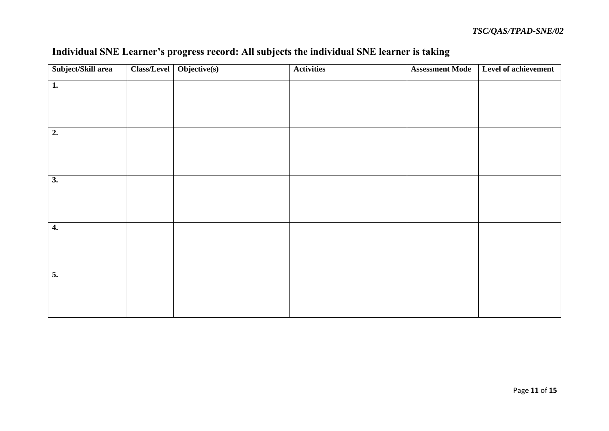| Subject/Skill area | Class/Level | Objective(s) | <b>Activities</b> | <b>Assessment Mode</b> | Level of achievement |
|--------------------|-------------|--------------|-------------------|------------------------|----------------------|
| 1.                 |             |              |                   |                        |                      |
|                    |             |              |                   |                        |                      |
|                    |             |              |                   |                        |                      |
| 2.                 |             |              |                   |                        |                      |
|                    |             |              |                   |                        |                      |
|                    |             |              |                   |                        |                      |
| $\overline{3.}$    |             |              |                   |                        |                      |
|                    |             |              |                   |                        |                      |
|                    |             |              |                   |                        |                      |
| 4.                 |             |              |                   |                        |                      |
|                    |             |              |                   |                        |                      |
|                    |             |              |                   |                        |                      |
| $\overline{5}$ .   |             |              |                   |                        |                      |
|                    |             |              |                   |                        |                      |
|                    |             |              |                   |                        |                      |

# **Individual SNE Learner's progress record: All subjects the individual SNE learner is taking**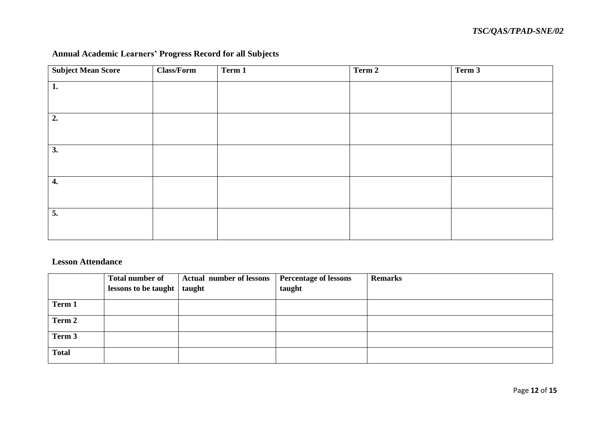# **Annual Academic Learners' Progress Record for all Subjects**

| <b>Subject Mean Score</b> | <b>Class/Form</b> | Term 1 | Term 2 | Term 3 |
|---------------------------|-------------------|--------|--------|--------|
| 1.                        |                   |        |        |        |
|                           |                   |        |        |        |
| 2.                        |                   |        |        |        |
|                           |                   |        |        |        |
| 3.                        |                   |        |        |        |
|                           |                   |        |        |        |
| 4.                        |                   |        |        |        |
|                           |                   |        |        |        |
| 5.                        |                   |        |        |        |
|                           |                   |        |        |        |

# **Lesson Attendance**

|              | Total number of<br>lessons to be taught   taught | <b>Actual number of lessons</b> | <b>Percentage of lessons</b><br>taught | <b>Remarks</b> |
|--------------|--------------------------------------------------|---------------------------------|----------------------------------------|----------------|
| Term 1       |                                                  |                                 |                                        |                |
|              |                                                  |                                 |                                        |                |
| Term 2       |                                                  |                                 |                                        |                |
| Term 3       |                                                  |                                 |                                        |                |
| <b>Total</b> |                                                  |                                 |                                        |                |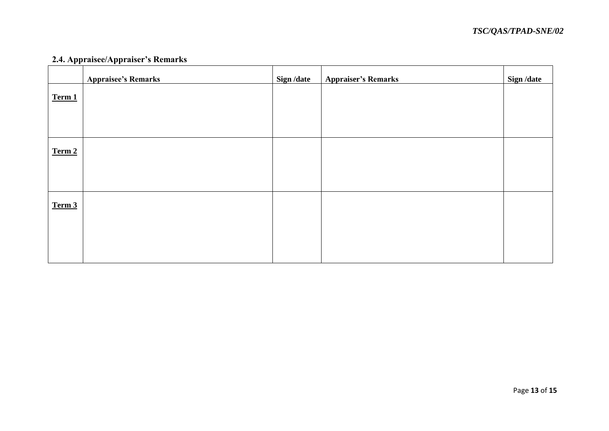# **2.4. Appraisee/Appraiser's Remarks**

|        | <b>Appraisee's Remarks</b> | Sign /date | <b>Appraiser's Remarks</b> | Sign /date |
|--------|----------------------------|------------|----------------------------|------------|
| Term 1 |                            |            |                            |            |
|        |                            |            |                            |            |
|        |                            |            |                            |            |
| Term 2 |                            |            |                            |            |
|        |                            |            |                            |            |
|        |                            |            |                            |            |
|        |                            |            |                            |            |
| Term 3 |                            |            |                            |            |
|        |                            |            |                            |            |
|        |                            |            |                            |            |
|        |                            |            |                            |            |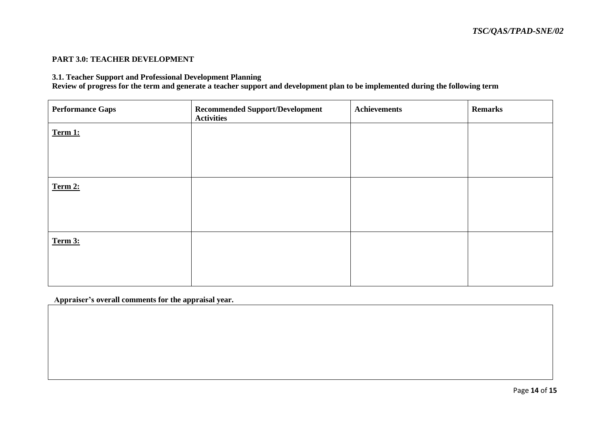### **PART 3.0: TEACHER DEVELOPMENT**

### **3.1. Teacher Support and Professional Development Planning**

**Review of progress for the term and generate a teacher support and development plan to be implemented during the following term**

| <b>Performance Gaps</b> | <b>Recommended Support/Development</b><br><b>Activities</b> | <b>Achievements</b> | <b>Remarks</b> |
|-------------------------|-------------------------------------------------------------|---------------------|----------------|
| Term 1:                 |                                                             |                     |                |
|                         |                                                             |                     |                |
| Term 2:                 |                                                             |                     |                |
|                         |                                                             |                     |                |
|                         |                                                             |                     |                |
| Term 3:                 |                                                             |                     |                |
|                         |                                                             |                     |                |

**Appraiser's overall comments for the appraisal year.**